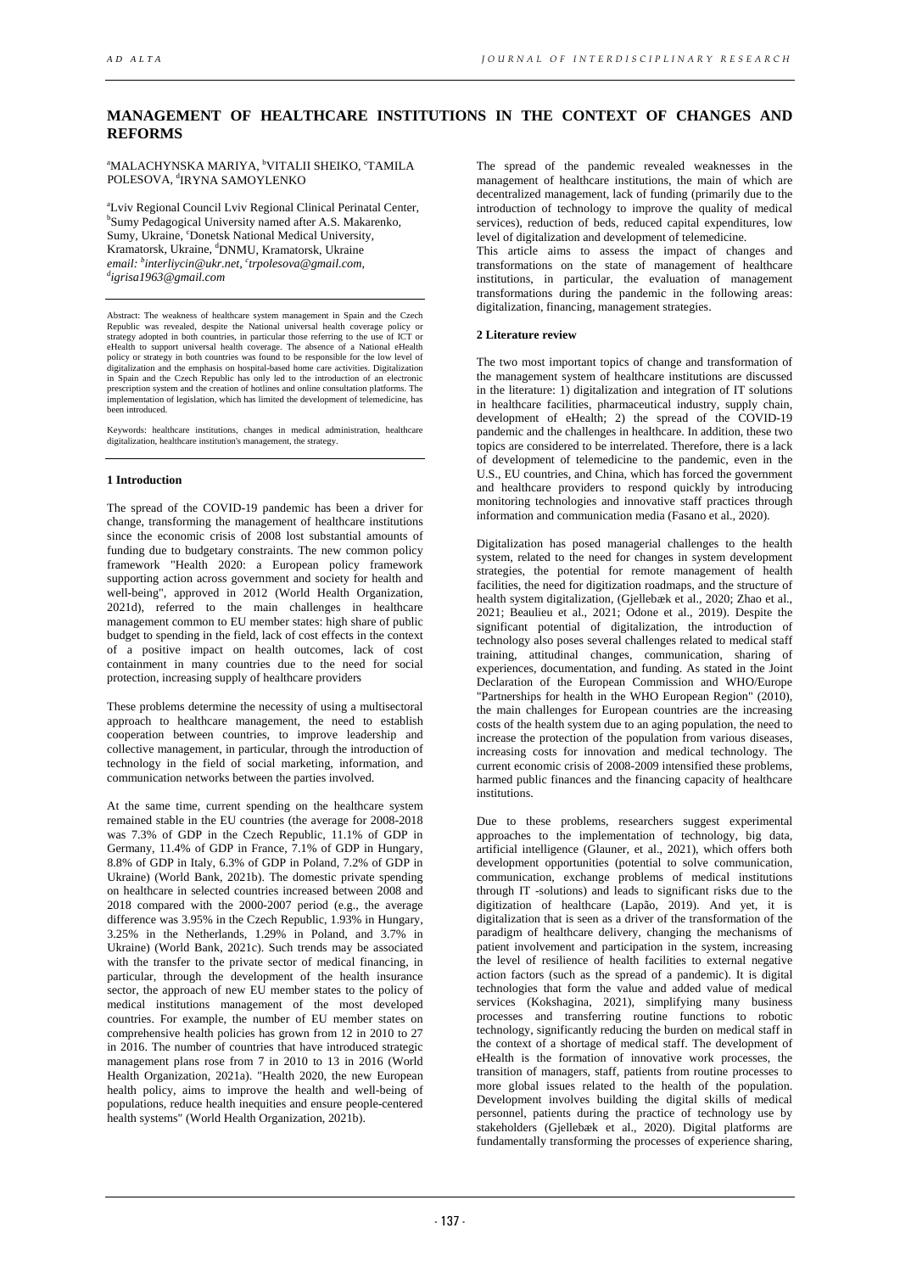# **MANAGEMENT OF HEALTHCARE INSTITUTIONS IN THE CONTEXT OF CHANGES AND REFORMS**

**"MALACHYNSKA MARIYA, <sup>b</sup>VITALII SHEIKO, °TAMILA** POLESOVA, <sup>d</sup>IRYNA SAMOYLENKO

<sup>a</sup>Lviv Regional Council Lviv Regional Clinical Perinatal Center, Sumy Pedagogical University named after A.S. Makarenko, Sumy, Ukraine, 'Donetsk National Medical University, Kramatorsk, Ukraine, <sup>d</sup>DNMU, Kramatorsk, Ukraine email: <sup>b</sup>interliycin@ukr.net, <sup>c</sup>trpolesova@gmail.com,<br><sup>d</sup>iorica 1063@gmail.com *igrisa1963@gmail.com*

Abstract: The weakness of healthcare system management in Spain and the Czech Republic was revealed, despite the National universal health coverage policy or strategy adopted in both countries, in particular those referring to the use of ICT or<br>eHealth to support universal health coverage. The absence of a National eHealth<br>policy or strategy in both countries was found to be re digitalization and the emphasis on hospital-based home care activities. Digitalization in Spain and the Czech Republic has only led to the introduction of an electronic prescription system and the creation of hotlines and online consultation platforms. The implementation of legislation, which has limited the development of telemedicine, has been introduced.

Keywords: healthcare institutions, changes in medical administration, healthcare digitalization, healthcare institution's management, the strategy.

## **1 Introduction**

The spread of the COVID-19 pandemic has been a driver for change, transforming the management of healthcare institutions since the economic crisis of 2008 lost substantial amounts of funding due to budgetary constraints. The new common policy framework "Health 2020: a European policy framework supporting action across government and society for health and well-being", approved in 2012 (World Health Organization, 2021d), referred to the main challenges in healthcare management common to EU member states: high share of public budget to spending in the field, lack of cost effects in the context of a positive impact on health outcomes, lack of cost containment in many countries due to the need for social protection, increasing supply of healthcare providers

These problems determine the necessity of using a multisectoral approach to healthcare management, the need to establish cooperation between countries, to improve leadership and collective management, in particular, through the introduction of technology in the field of social marketing, information, and communication networks between the parties involved.

At the same time, current spending on the healthcare system remained stable in the EU countries (the average for 2008-2018 was 7.3% of GDP in the Czech Republic, 11.1% of GDP in Germany, 11.4% of GDP in France, 7.1% of GDP in Hungary, 8.8% of GDP in Italy, 6.3% of GDP in Poland, 7.2% of GDP in Ukraine) (World Bank, 2021b). The domestic private spending on healthcare in selected countries increased between 2008 and 2018 compared with the 2000-2007 period (e.g., the average difference was 3.95% in the Czech Republic, 1.93% in Hungary, 3.25% in the Netherlands, 1.29% in Poland, and 3.7% in Ukraine) (World Bank, 2021c). Such trends may be associated with the transfer to the private sector of medical financing, in particular, through the development of the health insurance sector, the approach of new EU member states to the policy of medical institutions management of the most developed countries. For example, the number of EU member states on comprehensive health policies has grown from 12 in 2010 to 27 in 2016. The number of countries that have introduced strategic management plans rose from 7 in 2010 to 13 in 2016 (World Health Organization, 2021a). "Health 2020, the new European health policy, aims to improve the health and well-being of populations, reduce health inequities and ensure people-centered health systems" (World Health Organization, 2021b).

The spread of the pandemic revealed weaknesses in the management of healthcare institutions, the main of which are decentralized management, lack of funding (primarily due to the introduction of technology to improve the quality of medical services), reduction of beds, reduced capital expenditures, low level of digitalization and development of telemedicine.

This article aims to assess the impact of changes and transformations on the state of management of healthcare institutions, in particular, the evaluation of management transformations during the pandemic in the following areas: digitalization, financing, management strategies.

### **2 Literature review**

The two most important topics of change and transformation of the management system of healthcare institutions are discussed in the literature: 1) digitalization and integration of IT solutions in healthcare facilities, pharmaceutical industry, supply chain, development of eHealth; 2) the spread of the COVID-19 pandemic and the challenges in healthcare. In addition, these two topics are considered to be interrelated. Therefore, there is a lack of development of telemedicine to the pandemic, even in the U.S., EU countries, and China, which has forced the government and healthcare providers to respond quickly by introducing monitoring technologies and innovative staff practices through information and communication media (Fasano et al., 2020).

Digitalization has posed managerial challenges to the health system, related to the need for changes in system development strategies, the potential for remote management of health facilities, the need for digitization roadmaps, and the structure of health system digitalization, (Gjellebæk et al., 2020; Zhao et al., 2021; Beaulieu et al., 2021; Odone et al., 2019). Despite the significant potential of digitalization, the introduction of technology also poses several challenges related to medical staff training, attitudinal changes, communication, sharing of experiences, documentation, and funding. As stated in the Joint Declaration of the European Commission and WHO/Europe "Partnerships for health in the WHO European Region" (2010), the main challenges for European countries are the increasing costs of the health system due to an aging population, the need to increase the protection of the population from various diseases, increasing costs for innovation and medical technology. The current economic crisis of 2008-2009 intensified these problems, harmed public finances and the financing capacity of healthcare institutions.

Due to these problems, researchers suggest experimental approaches to the implementation of technology, big data, artificial intelligence (Glauner, et al., 2021), which offers both development opportunities (potential to solve communication, communication, exchange problems of medical institutions through IT -solutions) and leads to significant risks due to the digitization of healthcare (Lapão, 2019). And yet, it is digitalization that is seen as a driver of the transformation of the paradigm of healthcare delivery, changing the mechanisms of patient involvement and participation in the system, increasing the level of resilience of health facilities to external negative action factors (such as the spread of a pandemic). It is digital technologies that form the value and added value of medical services (Kokshagina, 2021), simplifying many business processes and transferring routine functions to robotic technology, significantly reducing the burden on medical staff in the context of a shortage of medical staff. The development of eHealth is the formation of innovative work processes, the transition of managers, staff, patients from routine processes to more global issues related to the health of the population. Development involves building the digital skills of medical personnel, patients during the practice of technology use by stakeholders (Gjellebæk et al., 2020). Digital platforms are fundamentally transforming the processes of experience sharing,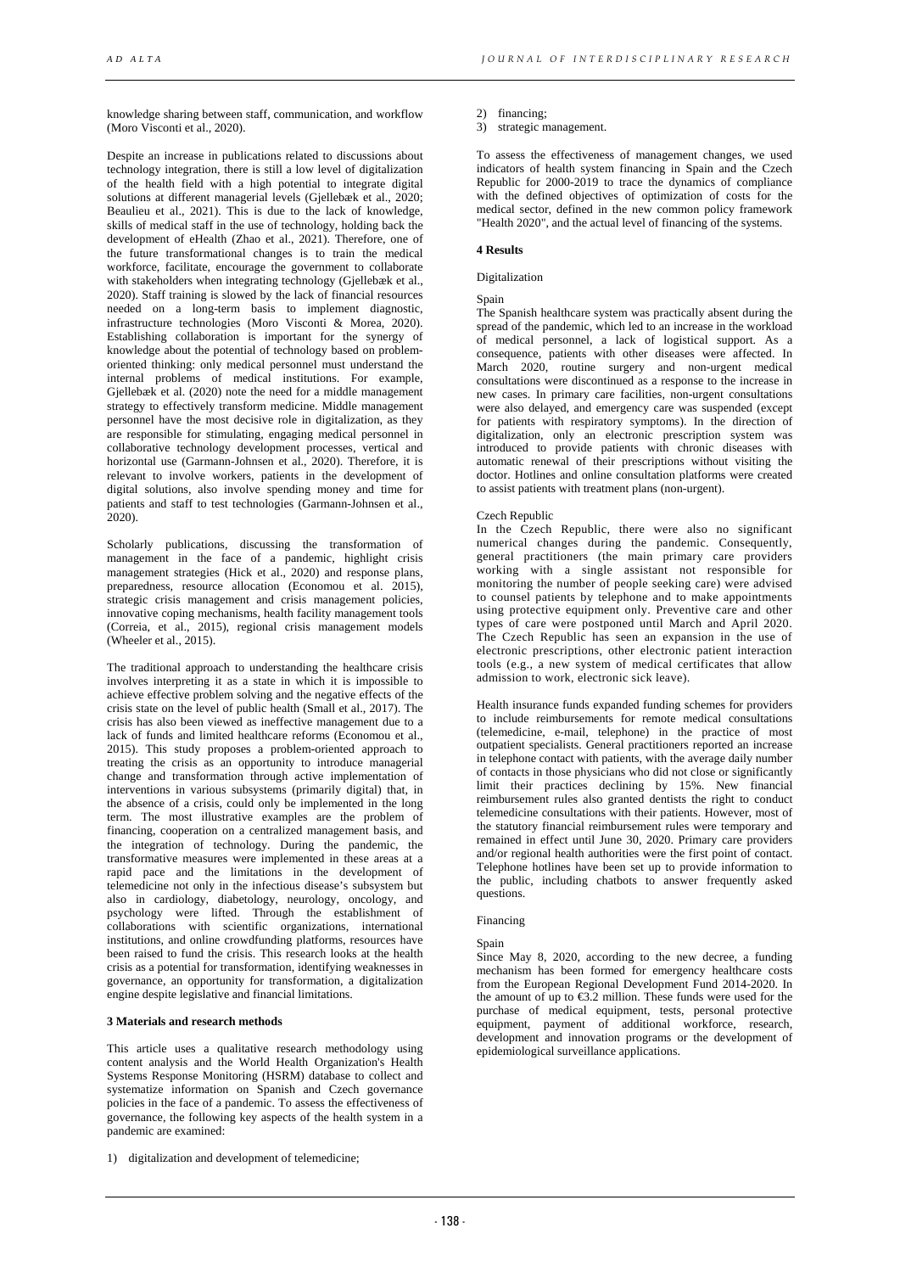knowledge sharing between staff, communication, and workflow (Moro Visconti et al., 2020).

Despite an increase in publications related to discussions about technology integration, there is still a low level of digitalization of the health field with a high potential to integrate digital solutions at different managerial levels (Gjellebæk et al., 2020; Beaulieu et al., 2021). This is due to the lack of knowledge, skills of medical staff in the use of technology, holding back the development of eHealth (Zhao et al., 2021). Therefore, one of the future transformational changes is to train the medical workforce, facilitate, encourage the government to collaborate with stakeholders when integrating technology (Giellebæk et al., 2020). Staff training is slowed by the lack of financial resources needed on a long-term basis to implement diagnostic, infrastructure technologies (Moro Visconti & Morea, 2020). Establishing collaboration is important for the synergy of knowledge about the potential of technology based on problemoriented thinking: only medical personnel must understand the internal problems of medical institutions. For example, Gjellebæk et al. (2020) note the need for a middle management strategy to effectively transform medicine. Middle management personnel have the most decisive role in digitalization, as they are responsible for stimulating, engaging medical personnel in collaborative technology development processes, vertical and horizontal use (Garmann-Johnsen et al., 2020). Therefore, it is relevant to involve workers, patients in the development of digital solutions, also involve spending money and time for patients and staff to test technologies (Garmann-Johnsen et al., 2020).

Scholarly publications, discussing the transformation of management in the face of a pandemic, highlight crisis management strategies (Hick et al., 2020) and response plans, preparedness, resource allocation (Economou et al. 2015), strategic crisis management and crisis management policies, innovative coping mechanisms, health facility management tools (Correia, et al., 2015), regional crisis management models (Wheeler et al., 2015).

The traditional approach to understanding the healthcare crisis involves interpreting it as a state in which it is impossible to achieve effective problem solving and the negative effects of the crisis state on the level of public health (Small et al., 2017). The crisis has also been viewed as ineffective management due to a lack of funds and limited healthcare reforms (Economou et al., 2015). This study proposes a problem-oriented approach to treating the crisis as an opportunity to introduce managerial change and transformation through active implementation of interventions in various subsystems (primarily digital) that, in the absence of a crisis, could only be implemented in the long term. The most illustrative examples are the problem of financing, cooperation on a centralized management basis, and the integration of technology. During the pandemic, the transformative measures were implemented in these areas at a rapid pace and the limitations in the development of telemedicine not only in the infectious disease's subsystem but also in cardiology, diabetology, neurology, oncology, and psychology were lifted. Through the establishment of collaborations with scientific organizations, international institutions, and online crowdfunding platforms, resources have been raised to fund the crisis. This research looks at the health crisis as a potential for transformation, identifying weaknesses in governance, an opportunity for transformation, a digitalization engine despite legislative and financial limitations.

### **3 Materials and research methods**

This article uses a qualitative research methodology using content analysis and the World Health Organization's Health Systems Response Monitoring (HSRM) database to collect and systematize information on Spanish and Czech governance policies in the face of a pandemic. To assess the effectiveness of governance, the following key aspects of the health system in a pandemic are examined:

1) digitalization and development of telemedicine;

2) financing;

3) strategic management.

To assess the effectiveness of management changes, we used indicators of health system financing in Spain and the Czech Republic for 2000-2019 to trace the dynamics of compliance with the defined objectives of optimization of costs for the medical sector, defined in the new common policy framework "Health 2020", and the actual level of financing of the systems.

### **4 Results**

### Digitalization

#### Spain

The Spanish healthcare system was practically absent during the spread of the pandemic, which led to an increase in the workload of medical personnel, a lack of logistical support. As a consequence, patients with other diseases were affected. In March 2020, routine surgery and non-urgent medical consultations were discontinued as a response to the increase in new cases. In primary care facilities, non-urgent consultations were also delayed, and emergency care was suspended (except for patients with respiratory symptoms). In the direction of digitalization, only an electronic prescription system was introduced to provide patients with chronic diseases with automatic renewal of their prescriptions without visiting the doctor. Hotlines and online consultation platforms were created to assist patients with treatment plans (non-urgent).

#### Czech Republic

In the Czech Republic, there were also no significant numerical changes during the pandemic. Consequently, general practitioners (the main primary care providers working with a single assistant not responsible for monitoring the number of people seeking care) were advised to counsel patients by telephone and to make appointments using protective equipment only. Preventive care and other types of care were postponed until March and April 2020. The Czech Republic has seen an expansion in the use of electronic prescriptions, other electronic patient interaction tools (e.g., a new system of medical certificates that allow admission to work, electronic sick leave).

Health insurance funds expanded funding schemes for providers to include reimbursements for remote medical consultations (telemedicine, e-mail, telephone) in the practice of most outpatient specialists. General practitioners reported an increase in telephone contact with patients, with the average daily number of contacts in those physicians who did not close or significantly limit their practices declining by 15%. New financial reimbursement rules also granted dentists the right to conduct telemedicine consultations with their patients. However, most of the statutory financial reimbursement rules were temporary and remained in effect until June 30, 2020. Primary care providers and/or regional health authorities were the first point of contact. Telephone hotlines have been set up to provide information to the public, including chatbots to answer frequently asked questions.

### Financing

#### Spain

Since May 8, 2020, according to the new decree, a funding mechanism has been formed for emergency healthcare costs from the European Regional Development Fund 2014-2020. In the amount of up to  $\epsilon$ 3.2 million. These funds were used for the purchase of medical equipment, tests, personal protective equipment, payment of additional workforce, research, development and innovation programs or the development of epidemiological surveillance applications.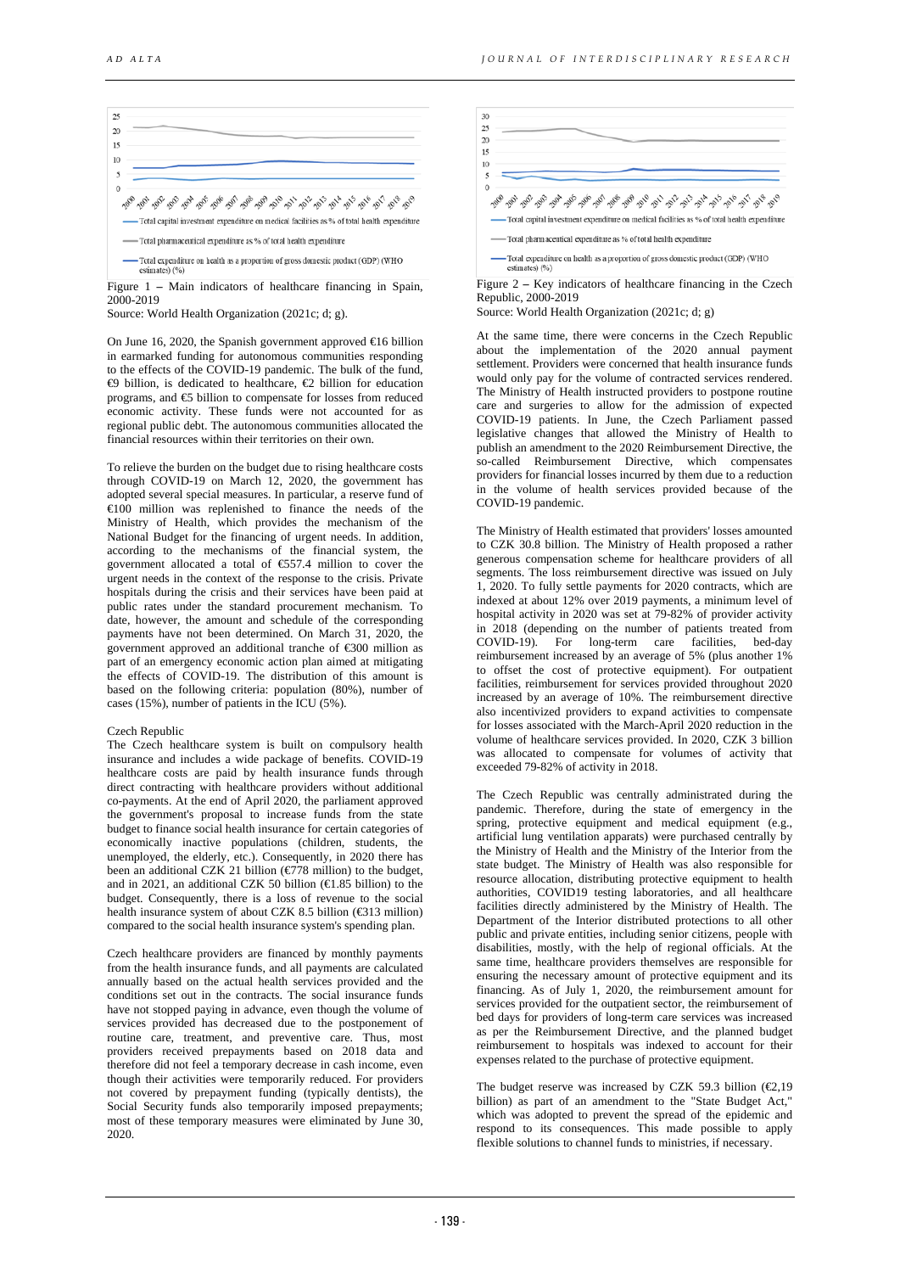

Figure 1 – Main indicators of healthcare financing in Spain, 2000-2019

Source: World Health Organization (2021c; d; g).

On June 16, 2020, the Spanish government approved €16 billion in earmarked funding for autonomous communities responding to the effects of the COVID-19 pandemic. The bulk of the fund, €9 billion, is dedicated to healthcare, €2 billion for education programs, and  $\mathfrak{S}$  billion to compensate for losses from reduced economic activity. These funds were not accounted for as regional public debt. The autonomous communities allocated the financial resources within their territories on their own.

To relieve the burden on the budget due to rising healthcare costs through COVID-19 on March 12, 2020, the government has adopted several special measures. In particular, a reserve fund of €100 million was replenished to finance the needs of the Ministry of Health, which provides the mechanism of the National Budget for the financing of urgent needs. In addition, according to the mechanisms of the financial system, the government allocated a total of €557.4 million to cover the urgent needs in the context of the response to the crisis. Private hospitals during the crisis and their services have been paid at public rates under the standard procurement mechanism. To date, however, the amount and schedule of the corresponding payments have not been determined. On March 31, 2020, the government approved an additional tranche of €300 million as part of an emergency economic action plan aimed at mitigating the effects of COVID-19. The distribution of this amount is based on the following criteria: population (80%), number of cases (15%), number of patients in the ICU (5%).

#### Czech Republic

The Czech healthcare system is built on compulsory health insurance and includes a wide package of benefits. COVID-19 healthcare costs are paid by health insurance funds through direct contracting with healthcare providers without additional co-payments. At the end of April 2020, the parliament approved the government's proposal to increase funds from the state budget to finance social health insurance for certain categories of economically inactive populations (children, students, the unemployed, the elderly, etc.). Consequently, in 2020 there has been an additional CZK 21 billion ( $\epsilon$ 78 million) to the budget, and in 2021, an additional CZK 50 billion ( $\bigoplus$  85 billion) to the budget. Consequently, there is a loss of revenue to the social health insurance system of about CZK 8.5 billion (€313 million) compared to the social health insurance system's spending plan.

Czech healthcare providers are financed by monthly payments from the health insurance funds, and all payments are calculated annually based on the actual health services provided and the conditions set out in the contracts. The social insurance funds have not stopped paying in advance, even though the volume of services provided has decreased due to the postponement of routine care, treatment, and preventive care. Thus, most providers received prepayments based on 2018 data and therefore did not feel a temporary decrease in cash income, even though their activities were temporarily reduced. For providers not covered by prepayment funding (typically dentists), the Social Security funds also temporarily imposed prepayments; most of these temporary measures were eliminated by June 30, 2020.



Figure 2 **–** Key indicators of healthcare financing in the Czech Republic, 2000-2019

Source: World Health Organization (2021c; d; g)

At the same time, there were concerns in the Czech Republic about the implementation of the 2020 annual payment settlement. Providers were concerned that health insurance funds would only pay for the volume of contracted services rendered. The Ministry of Health instructed providers to postpone routine care and surgeries to allow for the admission of expected COVID-19 patients. In June, the Czech Parliament passed legislative changes that allowed the Ministry of Health to publish an amendment to the 2020 Reimbursement Directive, the so-called Reimbursement Directive, which compensates providers for financial losses incurred by them due to a reduction in the volume of health services provided because of the COVID-19 pandemic.

The Ministry of Health estimated that providers' losses amounted to CZK 30.8 billion. The Ministry of Health proposed a rather generous compensation scheme for healthcare providers of all segments. The loss reimbursement directive was issued on July 1, 2020. To fully settle payments for 2020 contracts, which are indexed at about 12% over 2019 payments, a minimum level of hospital activity in 2020 was set at 79-82% of provider activity in 2018 (depending on the number of patients treated from COVID-19). For long-term care facilities, bed-day reimbursement increased by an average of 5% (plus another 1% to offset the cost of protective equipment). For outpatient facilities, reimbursement for services provided throughout 2020 increased by an average of 10%. The reimbursement directive also incentivized providers to expand activities to compensate for losses associated with the March-April 2020 reduction in the volume of healthcare services provided. In 2020, CZK 3 billion was allocated to compensate for volumes of activity that exceeded 79-82% of activity in 2018.

The Czech Republic was centrally administrated during the pandemic. Therefore, during the state of emergency in the spring, protective equipment and medical equipment (e.g., artificial lung ventilation apparats) were purchased centrally by the Ministry of Health and the Ministry of the Interior from the state budget. The Ministry of Health was also responsible for resource allocation, distributing protective equipment to health authorities, COVID19 testing laboratories, and all healthcare facilities directly administered by the Ministry of Health. The Department of the Interior distributed protections to all other public and private entities, including senior citizens, people with disabilities, mostly, with the help of regional officials. At the same time, healthcare providers themselves are responsible for ensuring the necessary amount of protective equipment and its financing. As of July 1, 2020, the reimbursement amount for services provided for the outpatient sector, the reimbursement of bed days for providers of long-term care services was increased as per the Reimbursement Directive, and the planned budget reimbursement to hospitals was indexed to account for their expenses related to the purchase of protective equipment.

The budget reserve was increased by CZK 59.3 billion  $(\mathcal{Q}, 19)$ billion) as part of an amendment to the "State Budget Act," which was adopted to prevent the spread of the epidemic and respond to its consequences. This made possible to apply flexible solutions to channel funds to ministries, if necessary.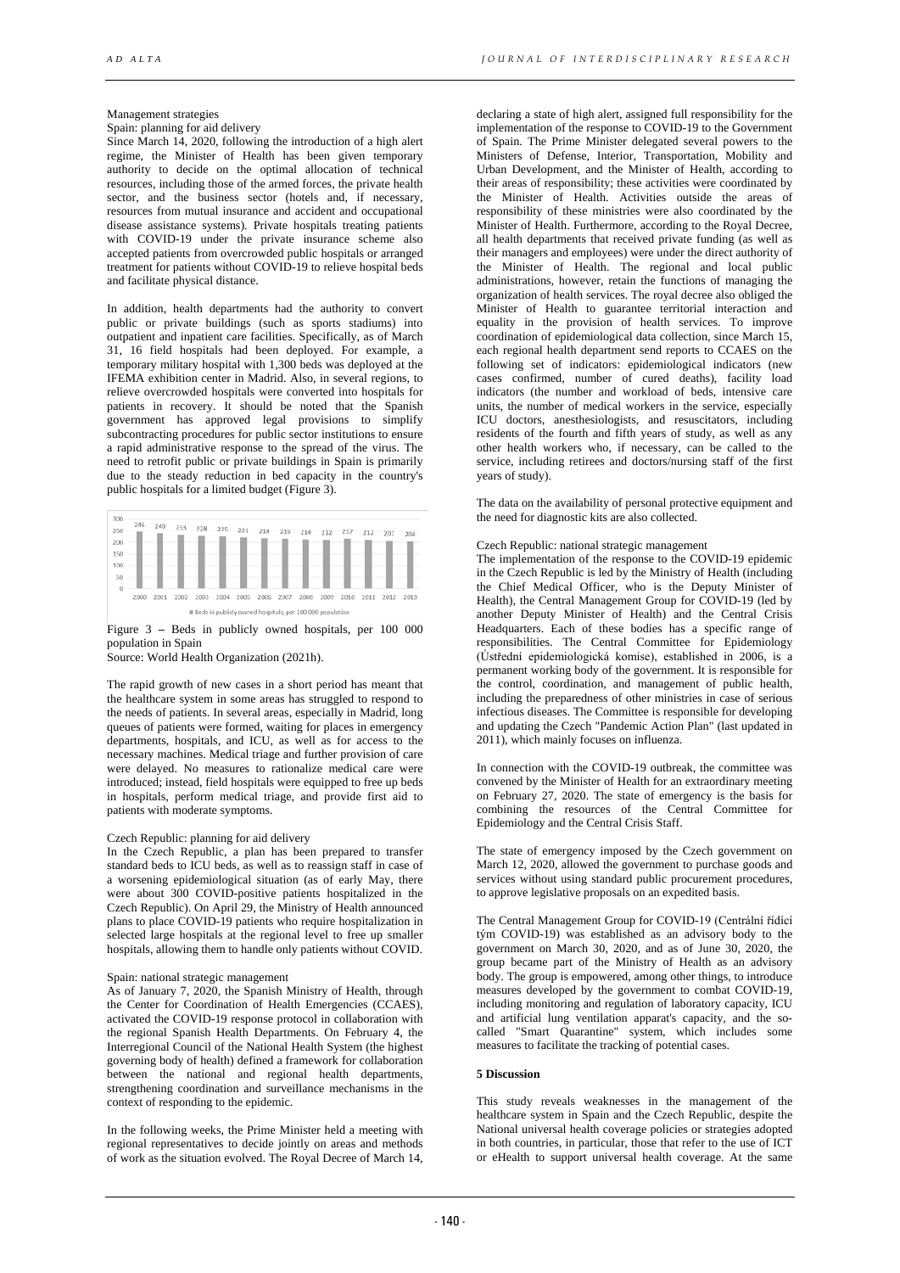# Management strategies

Spain: planning for aid delivery

Since March 14, 2020, following the introduction of a high alert regime, the Minister of Health has been given temporary authority to decide on the optimal allocation of technical resources, including those of the armed forces, the private health sector, and the business sector (hotels and, if necessary, resources from mutual insurance and accident and occupational disease assistance systems). Private hospitals treating patients with COVID-19 under the private insurance scheme also accepted patients from overcrowded public hospitals or arranged treatment for patients without COVID-19 to relieve hospital beds and facilitate physical distance.

In addition, health departments had the authority to convert public or private buildings (such as sports stadiums) into outpatient and inpatient care facilities. Specifically, as of March 31, 16 field hospitals had been deployed. For example, a temporary military hospital with 1,300 beds was deployed at the IFEMA exhibition center in Madrid. Also, in several regions, to relieve overcrowded hospitals were converted into hospitals for patients in recovery. It should be noted that the Spanish government has approved legal provisions to simplify subcontracting procedures for public sector institutions to ensure a rapid administrative response to the spread of the virus. The need to retrofit public or private buildings in Spain is primarily due to the steady reduction in bed capacity in the country's public hospitals for a limited budget (Figure 3).



Figure 3 **–** Beds in publicly owned hospitals, per 100 000 population in Spain

Source: World Health Organization (2021h).

The rapid growth of new cases in a short period has meant that the healthcare system in some areas has struggled to respond to the needs of patients. In several areas, especially in Madrid, long queues of patients were formed, waiting for places in emergency departments, hospitals, and ICU, as well as for access to the necessary machines. Medical triage and further provision of care were delayed. No measures to rationalize medical care were introduced; instead, field hospitals were equipped to free up beds in hospitals, perform medical triage, and provide first aid to patients with moderate symptoms.

#### Czech Republic: planning for aid delivery

In the Czech Republic, a plan has been prepared to transfer standard beds to ICU beds, as well as to reassign staff in case of a worsening epidemiological situation (as of early May, there were about 300 COVID-positive patients hospitalized in the Czech Republic). On April 29, the Ministry of Health announced plans to place COVID-19 patients who require hospitalization in selected large hospitals at the regional level to free up smaller hospitals, allowing them to handle only patients without COVID.

### Spain: national strategic management

As of January 7, 2020, the Spanish Ministry of Health, through the Center for Coordination of Health Emergencies (CCAES), activated the COVID-19 response protocol in collaboration with the regional Spanish Health Departments. On February 4, the Interregional Council of the National Health System (the highest governing body of health) defined a framework for collaboration between the national and regional health departments, strengthening coordination and surveillance mechanisms in the context of responding to the epidemic.

In the following weeks, the Prime Minister held a meeting with regional representatives to decide jointly on areas and methods of work as the situation evolved. The Royal Decree of March 14,

declaring a state of high alert, assigned full responsibility for the implementation of the response to COVID-19 to the Government of Spain. The Prime Minister delegated several powers to the Ministers of Defense, Interior, Transportation, Mobility and Urban Development, and the Minister of Health, according to their areas of responsibility; these activities were coordinated by the Minister of Health. Activities outside the areas of responsibility of these ministries were also coordinated by the Minister of Health. Furthermore, according to the Royal Decree, all health departments that received private funding (as well as their managers and employees) were under the direct authority of the Minister of Health. The regional and local public administrations, however, retain the functions of managing the organization of health services. The royal decree also obliged the Minister of Health to guarantee territorial interaction and equality in the provision of health services. To improve coordination of epidemiological data collection, since March 15, each regional health department send reports to CCAES on the following set of indicators: epidemiological indicators (new cases confirmed, number of cured deaths), facility load indicators (the number and workload of beds, intensive care units, the number of medical workers in the service, especially ICU doctors, anesthesiologists, and resuscitators, including residents of the fourth and fifth years of study, as well as any other health workers who, if necessary, can be called to the service, including retirees and doctors/nursing staff of the first years of study).

The data on the availability of personal protective equipment and the need for diagnostic kits are also collected.

#### Czech Republic: national strategic management

The implementation of the response to the COVID-19 epidemic in the Czech Republic is led by the Ministry of Health (including the Chief Medical Officer, who is the Deputy Minister of Health), the Central Management Group for COVID-19 (led by another Deputy Minister of Health) and the Central Crisis Headquarters. Each of these bodies has a specific range of responsibilities. The Central Committee for Epidemiology (Ústřední epidemiologická komise), established in 2006, is a permanent working body of the government. It is responsible for the control, coordination, and management of public health, including the preparedness of other ministries in case of serious infectious diseases. The Committee is responsible for developing and updating the Czech "Pandemic Action Plan" (last updated in 2011), which mainly focuses on influenza.

In connection with the COVID-19 outbreak, the committee was convened by the Minister of Health for an extraordinary meeting on February 27, 2020. The state of emergency is the basis for combining the resources of the Central Committee for Epidemiology and the Central Crisis Staff.

The state of emergency imposed by the Czech government on March 12, 2020, allowed the government to purchase goods and services without using standard public procurement procedures, to approve legislative proposals on an expedited basis.

The Central Management Group for COVID-19 (Centrální řídící tým COVID-19) was established as an advisory body to the government on March 30, 2020, and as of June 30, 2020, the group became part of the Ministry of Health as an advisory body. The group is empowered, among other things, to introduce measures developed by the government to combat COVID-19, including monitoring and regulation of laboratory capacity, ICU and artificial lung ventilation apparat's capacity, and the socalled "Smart Quarantine" system, which includes some measures to facilitate the tracking of potential cases.

#### **5 Discussion**

This study reveals weaknesses in the management of the healthcare system in Spain and the Czech Republic, despite the National universal health coverage policies or strategies adopted in both countries, in particular, those that refer to the use of ICT or eHealth to support universal health coverage. At the same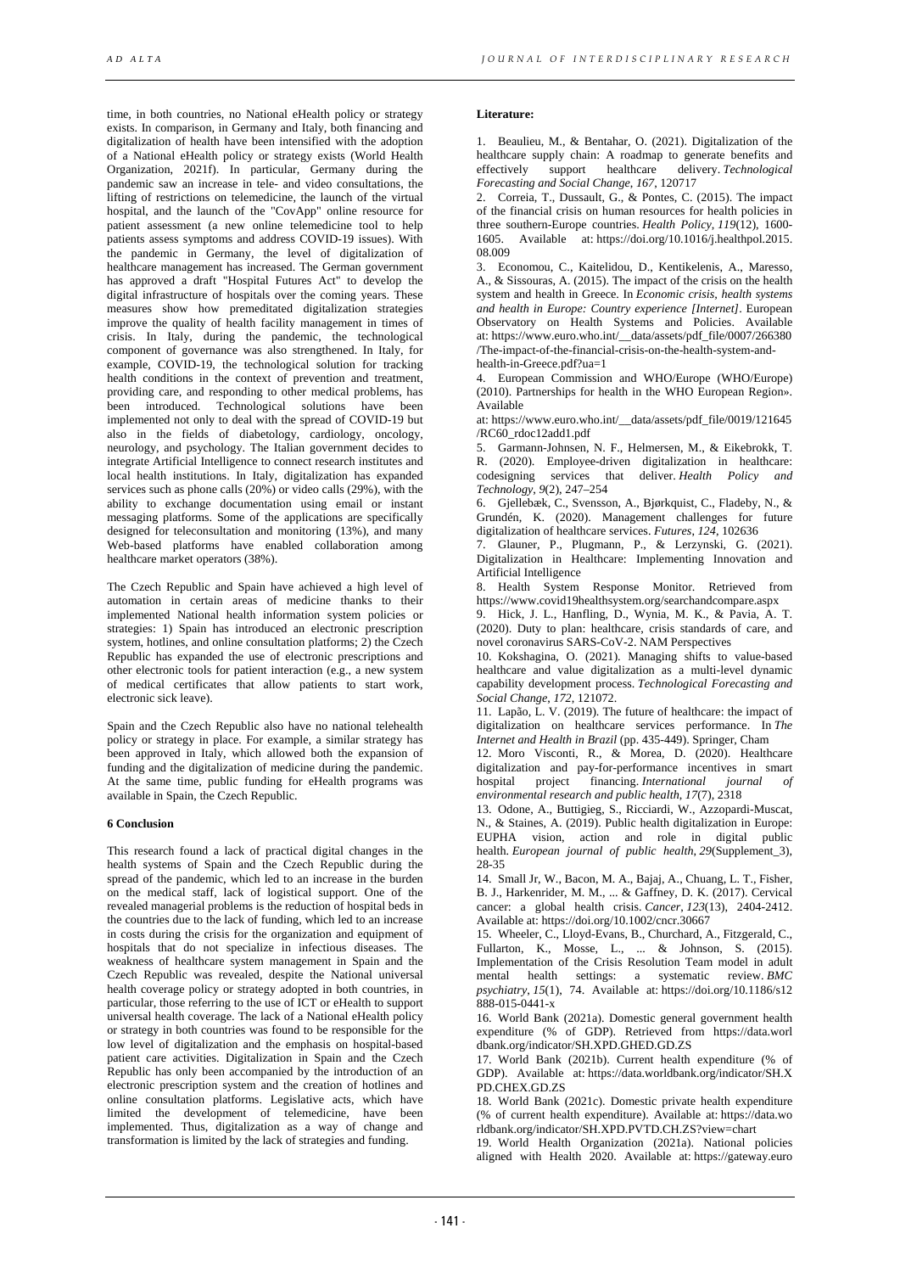time, in both countries, no National eHealth policy or strategy exists. In comparison, in Germany and Italy, both financing and digitalization of health have been intensified with the adoption of a National eHealth policy or strategy exists (World Health Organization, 2021f). In particular, Germany during the pandemic saw an increase in tele- and video consultations, the lifting of restrictions on telemedicine, the launch of the virtual hospital, and the launch of the "CovApp" online resource for patient assessment (a new online telemedicine tool to help patients assess symptoms and address COVID-19 issues). With the pandemic in Germany, the level of digitalization of healthcare management has increased. The German government has approved a draft "Hospital Futures Act" to develop the digital infrastructure of hospitals over the coming years. These measures show how premeditated digitalization strategies improve the quality of health facility management in times of crisis. In Italy, during the pandemic, the technological component of governance was also strengthened. In Italy, for example, COVID-19, the technological solution for tracking health conditions in the context of prevention and treatment, providing care, and responding to other medical problems, has been introduced. Technological solutions have been implemented not only to deal with the spread of COVID-19 but also in the fields of diabetology, cardiology, oncology, neurology, and psychology. The Italian government decides to integrate Artificial Intelligence to connect research institutes and local health institutions. In Italy, digitalization has expanded services such as phone calls (20%) or video calls (29%), with the ability to exchange documentation using email or instant messaging platforms. Some of the applications are specifically designed for teleconsultation and monitoring (13%), and many Web-based platforms have enabled collaboration among healthcare market operators (38%).

The Czech Republic and Spain have achieved a high level of automation in certain areas of medicine thanks to their implemented National health information system policies or strategies: 1) Spain has introduced an electronic prescription system, hotlines, and online consultation platforms; 2) the Czech Republic has expanded the use of electronic prescriptions and other electronic tools for patient interaction (e.g., a new system of medical certificates that allow patients to start work, electronic sick leave).

Spain and the Czech Republic also have no national telehealth policy or strategy in place. For example, a similar strategy has been approved in Italy, which allowed both the expansion of funding and the digitalization of medicine during the pandemic. At the same time, public funding for eHealth programs was available in Spain, the Czech Republic.

### **6 Conclusion**

This research found a lack of practical digital changes in the health systems of Spain and the Czech Republic during the spread of the pandemic, which led to an increase in the burden on the medical staff, lack of logistical support. One of the revealed managerial problems is the reduction of hospital beds in the countries due to the lack of funding, which led to an increase in costs during the crisis for the organization and equipment of hospitals that do not specialize in infectious diseases. The weakness of healthcare system management in Spain and the Czech Republic was revealed, despite the National universal health coverage policy or strategy adopted in both countries, in particular, those referring to the use of ICT or eHealth to support universal health coverage. The lack of a National eHealth policy or strategy in both countries was found to be responsible for the low level of digitalization and the emphasis on hospital-based patient care activities. Digitalization in Spain and the Czech Republic has only been accompanied by the introduction of an electronic prescription system and the creation of hotlines and online consultation platforms. Legislative acts, which have limited the development of telemedicine, have been implemented. Thus, digitalization as a way of change and transformation is limited by the lack of strategies and funding.

### **Literature:**

1. Beaulieu, M., & Bentahar, O. (2021). Digitalization of the healthcare supply chain: A roadmap to generate benefits and<br>effectively support healthcare delivery. Technological effectively support healthcare delivery. *Technological Forecasting and Social Change*, *167*, 120717

2. Correia, T., Dussault, G., & Pontes, C. (2015). The impact of the financial crisis on human resources for health policies in three southern-Europe countries. *Health Policy*, *119*(12), 1600- 1605. Available at: https://doi.org/10.1016/j.healthpol.2015. 08.009

3. Economou, C., Kaitelidou, D., Kentikelenis, A., Maresso, A., & Sissouras, A. (2015). The impact of the crisis on the health system and health in Greece. In *Economic crisis, health systems and health in Europe: Country experience [Internet]*. European Observatory on Health Systems and Policies. Available at: https://www.euro.who.int/\_data/assets/pdf\_file/0007/266380 /The-impact-of-the-financial-crisis-on-the-health-system-andhealth-in-Greece.pdf?ua=1

4. European Commission and WHO/Europe (WHO/Europe) (2010). Partnerships for health in the WHO European Region». Available

at: https://www.euro.who.int/\_\_data/assets/pdf\_file/0019/121645 /RC60\_rdoc12add1.pdf

5. Garmann-Johnsen, N. F., Helmersen, M., & Eikebrokk, T. R. (2020). Employee-driven digitalization in healthcare: codesigning services that deliver. *Health Policy Technology*, *9*(2), 247–254

6. Gjellebæk, C., Svensson, A., Bjørkquist, C., Fladeby, N., & Grundén, K. (2020). Management challenges for future digitalization of healthcare services. *Futures*, *124*, 102636

7. Glauner, P., Plugmann, P., & Lerzynski, G. (2021). Digitalization in Healthcare: Implementing Innovation and Artificial Intelligence

8. Health System Response Monitor. Retrieved from https://www.covid19healthsystem.org/searchandcompare.aspx

9. Hick, J. L., Hanfling, D., Wynia, M. K., & Pavia, A. T. (2020). Duty to plan: healthcare, crisis standards of care, and novel coronavirus SARS-CoV-2. NAM Perspectives

10. Kokshagina, O. (2021). Managing shifts to value-based healthcare and value digitalization as a multi-level dynamic capability development process. *Technological Forecasting and Social Change*, *172*, 121072.

11. Lapão, L. V. (2019). The future of healthcare: the impact of digitalization on healthcare services performance. In *The Internet and Health in Brazil* (pp. 435-449). Springer, Cham

12. Moro Visconti, R., & Morea, D. (2020). Healthcare digitalization and pay-for-performance incentives in smart hospital project financing. *International journal of* financing. *International journal of environmental research and public health*, *17*(7), 2318

13. Odone, A., Buttigieg, S., Ricciardi, W., Azzopardi-Muscat, N., & Staines, A. (2019). Public health digitalization in Europe: EUPHA vision, action and role in digital public health. *European journal of public health*, *29*(Supplement\_3), 28-35

14. Small Jr, W., Bacon, M. A., Bajaj, A., Chuang, L. T., Fisher, B. J., Harkenrider, M. M., ... & Gaffney, D. K. (2017). Cervical cancer: a global health crisis. *Cancer*, *123*(13), 2404-2412. Available at: https://doi.org/10.1002/cncr.30667

15. Wheeler, C., Lloyd-Evans, B., Churchard, A., Fitzgerald, C., Fullarton, K., Mosse, L., ... & Johnson, S. (2015). Implementation of the Crisis Resolution Team model in adult mental health settings: a systematic review. *BMC psychiatry*, *15*(1), 74. Available at: https://doi.org/10.1186/s12  $888 - 015 - 0441 - x$ 

16. World Bank (2021a). Domestic general government health expenditure (% of GDP). Retrieved from https://data.worl dbank.org/indicator/SH.XPD.GHED.GD.ZS

17. World Bank (2021b). Current health expenditure (% of GDP). Available at: https://data.worldbank.org/indicator/SH.X PD.CHEX.GD.ZS

18. World Bank (2021c). Domestic private health expenditure (% of current health expenditure). Available at: https://data.wo rldbank.org/indicator/SH.XPD.PVTD.CH.ZS?view=chart

19. World Health Organization (2021a). National policies aligned with Health 2020. Available at: https://gateway.euro